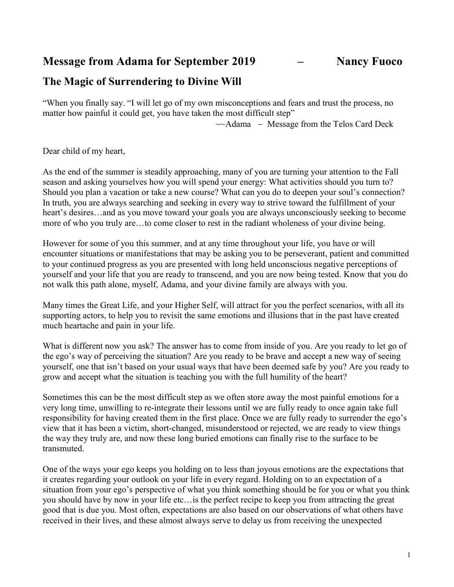Message from Adama for September 2019 - Nancy Fuoco

## The Magic of Surrendering to Divine Will

"When you finally say. "I will let go of my own misconceptions and fears and trust the process, no matter how painful it could get, you have taken the most difficult step"

 $\sim$ Adama – Message from the Telos Card Deck

Dear child of my heart,

As the end of the summer is steadily approaching, many of you are turning your attention to the Fall season and asking yourselves how you will spend your energy: What activities should you turn to? Should you plan a vacation or take a new course? What can you do to deepen your soul's connection? In truth, you are always searching and seeking in every way to strive toward the fulfillment of your heart's desires...and as you move toward your goals you are always unconsciously seeking to become more of who you truly are…to come closer to rest in the radiant wholeness of your divine being.

However for some of you this summer, and at any time throughout your life, you have or will encounter situations or manifestations that may be asking you to be perseverant, patient and committed to your continued progress as you are presented with long held unconscious negative perceptions of yourself and your life that you are ready to transcend, and you are now being tested. Know that you do not walk this path alone, myself, Adama, and your divine family are always with you.

Many times the Great Life, and your Higher Self, will attract for you the perfect scenarios, with all its supporting actors, to help you to revisit the same emotions and illusions that in the past have created much heartache and pain in your life.

What is different now you ask? The answer has to come from inside of you. Are you ready to let go of the ego's way of perceiving the situation? Are you ready to be brave and accept a new way of seeing yourself, one that isn't based on your usual ways that have been deemed safe by you? Are you ready to grow and accept what the situation is teaching you with the full humility of the heart?

Sometimes this can be the most difficult step as we often store away the most painful emotions for a very long time, unwilling to re-integrate their lessons until we are fully ready to once again take full responsibility for having created them in the first place. Once we are fully ready to surrender the ego's view that it has been a victim, short-changed, misunderstood or rejected, we are ready to view things the way they truly are, and now these long buried emotions can finally rise to the surface to be transmuted.

One of the ways your ego keeps you holding on to less than joyous emotions are the expectations that it creates regarding your outlook on your life in every regard. Holding on to an expectation of a situation from your ego's perspective of what you think something should be for you or what you think you should have by now in your life etc…is the perfect recipe to keep you from attracting the great good that is due you. Most often, expectations are also based on our observations of what others have received in their lives, and these almost always serve to delay us from receiving the unexpected